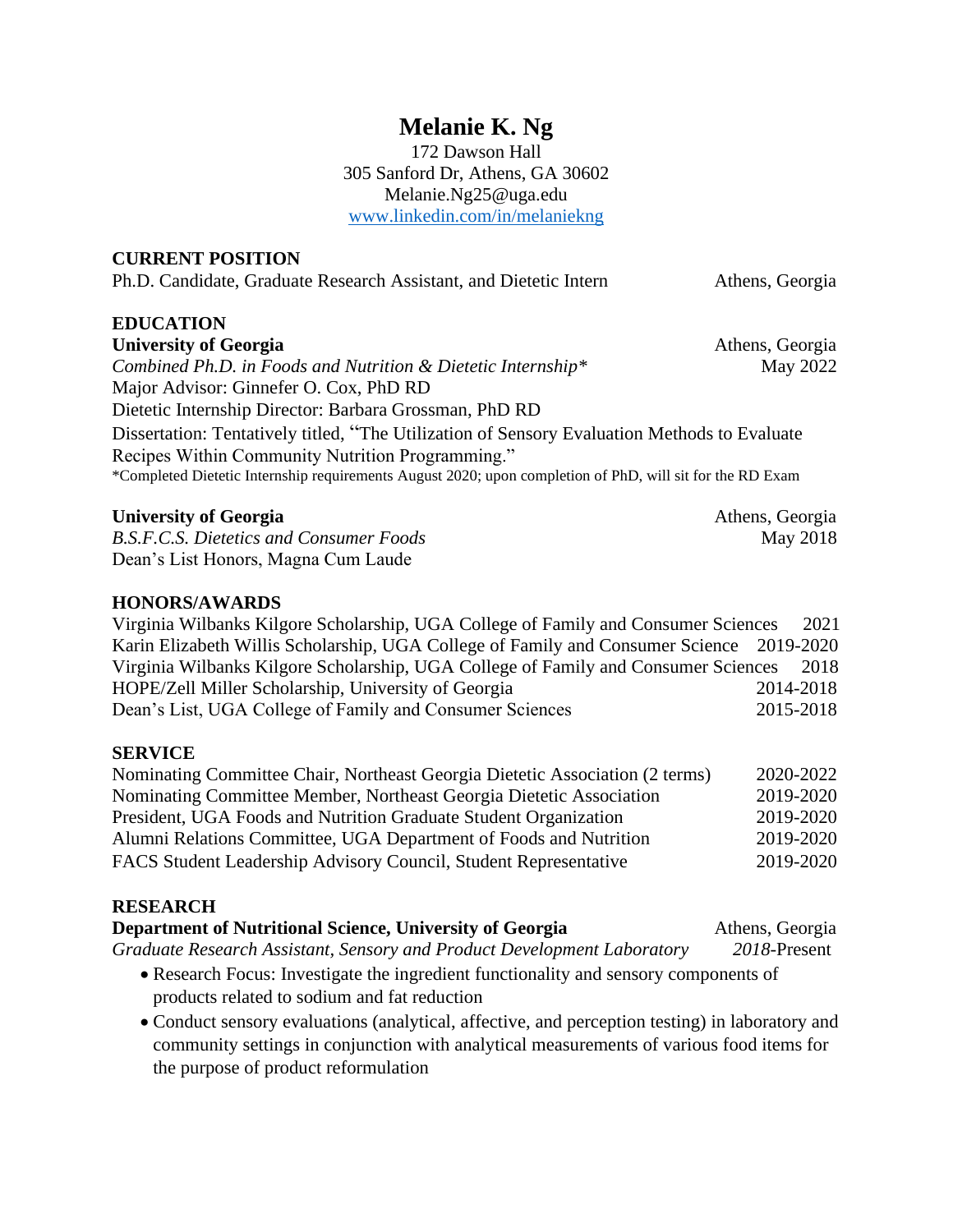## **Melanie K. Ng**

172 Dawson Hall 305 Sanford Dr, Athens, GA 30602 Melanie.Ng25@uga.edu [www.linkedin.com/in/melaniekng](http://www.linkedin.com/in/melaniekng)

#### **CURRENT POSITION**

Ph.D. Candidate, Graduate Research Assistant, and Dietetic Intern Athens, Georgia

# **EDUCATION**

*Combined Ph.D. in Foods and Nutrition & Dietetic Internship\** May 2022 Major Advisor: Ginnefer O. Cox, PhD RD Dietetic Internship Director: Barbara Grossman, PhD RD Dissertation: Tentatively titled, "The Utilization of Sensory Evaluation Methods to Evaluate Recipes Within Community Nutrition Programming." \*Completed Dietetic Internship requirements August 2020; upon completion of PhD, will sit for the RD Exam

#### **University of Georgia** Athens, Georgia

*B.S.F.C.S. Dietetics and Consumer Foods* May 2018 Dean's List Honors, Magna Cum Laude

#### **HONORS/AWARDS**

Virginia Wilbanks Kilgore Scholarship, UGA College of Family and Consumer Sciences 2021 Karin Elizabeth Willis Scholarship, UGA College of Family and Consumer Science 2019-2020 Virginia Wilbanks Kilgore Scholarship, UGA College of Family and Consumer Sciences 2018 HOPE/Zell Miller Scholarship, University of Georgia 2014-2018 Dean's List, UGA College of Family and Consumer Sciences 2015-2018

#### **SERVICE**

| Nominating Committee Chair, Northeast Georgia Dietetic Association (2 terms) | 2020-2022 |
|------------------------------------------------------------------------------|-----------|
| Nominating Committee Member, Northeast Georgia Dietetic Association          | 2019-2020 |
| President, UGA Foods and Nutrition Graduate Student Organization             | 2019-2020 |
| Alumni Relations Committee, UGA Department of Foods and Nutrition            | 2019-2020 |
| FACS Student Leadership Advisory Council, Student Representative             | 2019-2020 |

#### **RESEARCH**

| Department of Nutritional Science, University of Georgia                             | Athens, Georgia |
|--------------------------------------------------------------------------------------|-----------------|
| Graduate Research Assistant, Sensory and Product Development Laboratory              | $2018$ -Present |
| • Research Focus: Investigate the ingredient functionality and sensory components of |                 |
| products related to sodium and fat reduction                                         |                 |

• Conduct sensory evaluations (analytical, affective, and perception testing) in laboratory and community settings in conjunction with analytical measurements of various food items for the purpose of product reformulation

**University of Georgia** Athens, Georgia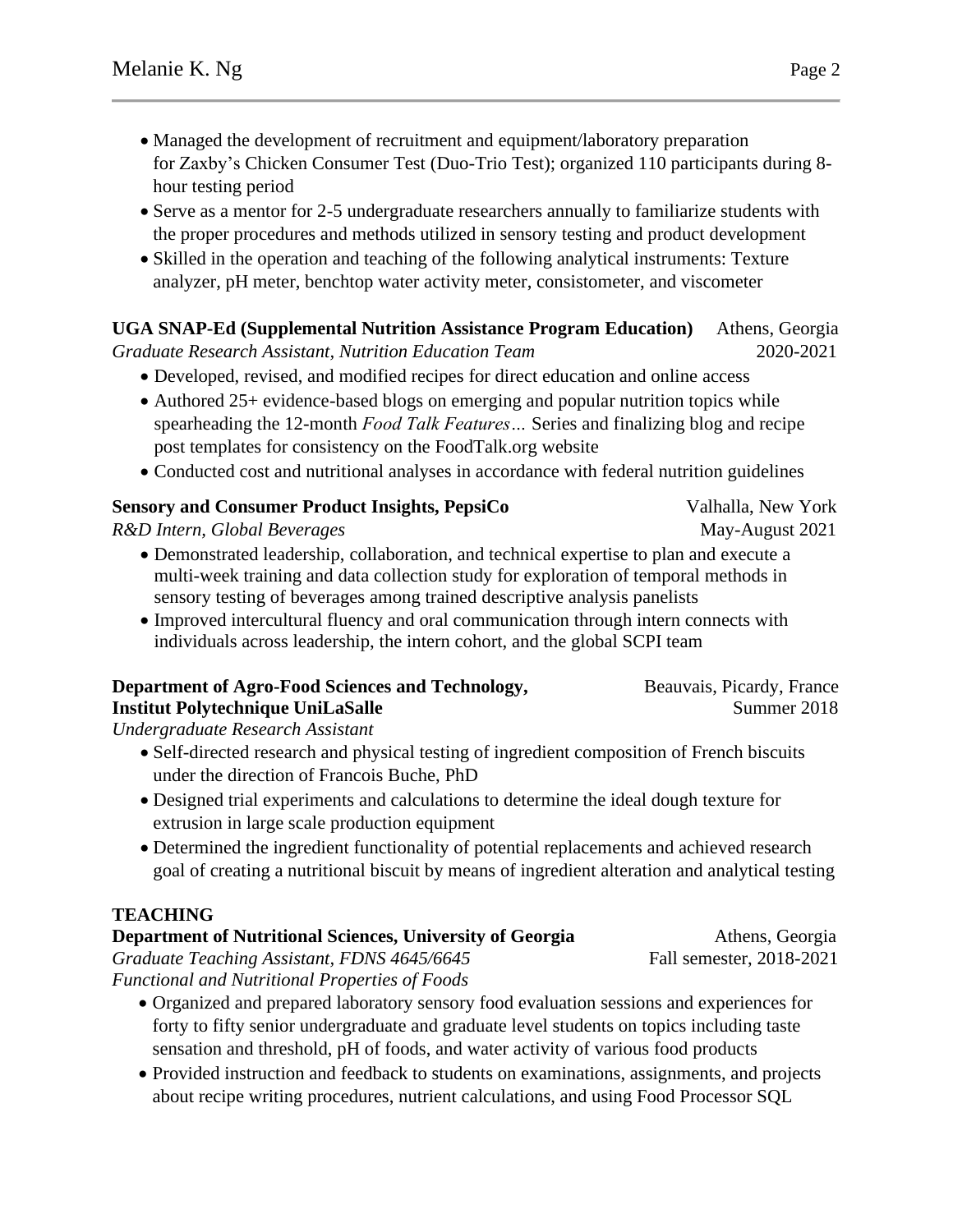- Managed the development of recruitment and equipment/laboratory preparation for Zaxby's Chicken Consumer Test (Duo-Trio Test); organized 110 participants during 8 hour testing period
- Serve as a mentor for 2-5 undergraduate researchers annually to familiarize students with the proper procedures and methods utilized in sensory testing and product development
- Skilled in the operation and teaching of the following analytical instruments: Texture analyzer, pH meter, benchtop water activity meter, consistometer, and viscometer

## **UGA SNAP-Ed (Supplemental Nutrition Assistance Program Education)** Athens, Georgia

*Graduate Research Assistant, Nutrition Education Team* 2020-2021

- Developed, revised, and modified recipes for direct education and online access
- Authored 25+ evidence-based blogs on emerging and popular nutrition topics while spearheading the 12-month *Food Talk Features…* Series and finalizing blog and recipe post templates for consistency on the FoodTalk.org website
- Conducted cost and nutritional analyses in accordance with federal nutrition guidelines

## **Sensory and Consumer Product Insights, PepsiCo** Valhalla, New York

*R&D Intern, Global Beverages* May-August 2021

- Demonstrated leadership, collaboration, and technical expertise to plan and execute a multi-week training and data collection study for exploration of temporal methods in sensory testing of beverages among trained descriptive analysis panelists
- Improved intercultural fluency and oral communication through intern connects with individuals across leadership, the intern cohort, and the global SCPI team

#### **Department of Agro-Food Sciences and Technology, Beauvais, Picardy, France Institut Polytechnique UniLaSalle** Summer 2018

*Undergraduate Research Assistant*

- Self-directed research and physical testing of ingredient composition of French biscuits under the direction of Francois Buche, PhD
- Designed trial experiments and calculations to determine the ideal dough texture for extrusion in large scale production equipment
- Determined the ingredient functionality of potential replacements and achieved research goal of creating a nutritional biscuit by means of ingredient alteration and analytical testing

## **TEACHING**

| Department of Nutritional Sciences, University of Georgia                                | Athens, Georgia          |
|------------------------------------------------------------------------------------------|--------------------------|
| Graduate Teaching Assistant, FDNS 4645/6645                                              | Fall semester, 2018-2021 |
| Functional and Nutritional Properties of Foods                                           |                          |
| • Organized and prepared laboratory cancery food avaluation escaions and experiences for |                          |

- Organized and prepared laboratory sensory food evaluation sessions and experiences for forty to fifty senior undergraduate and graduate level students on topics including taste sensation and threshold, pH of foods, and water activity of various food products
- Provided instruction and feedback to students on examinations, assignments, and projects about recipe writing procedures, nutrient calculations, and using Food Processor SQL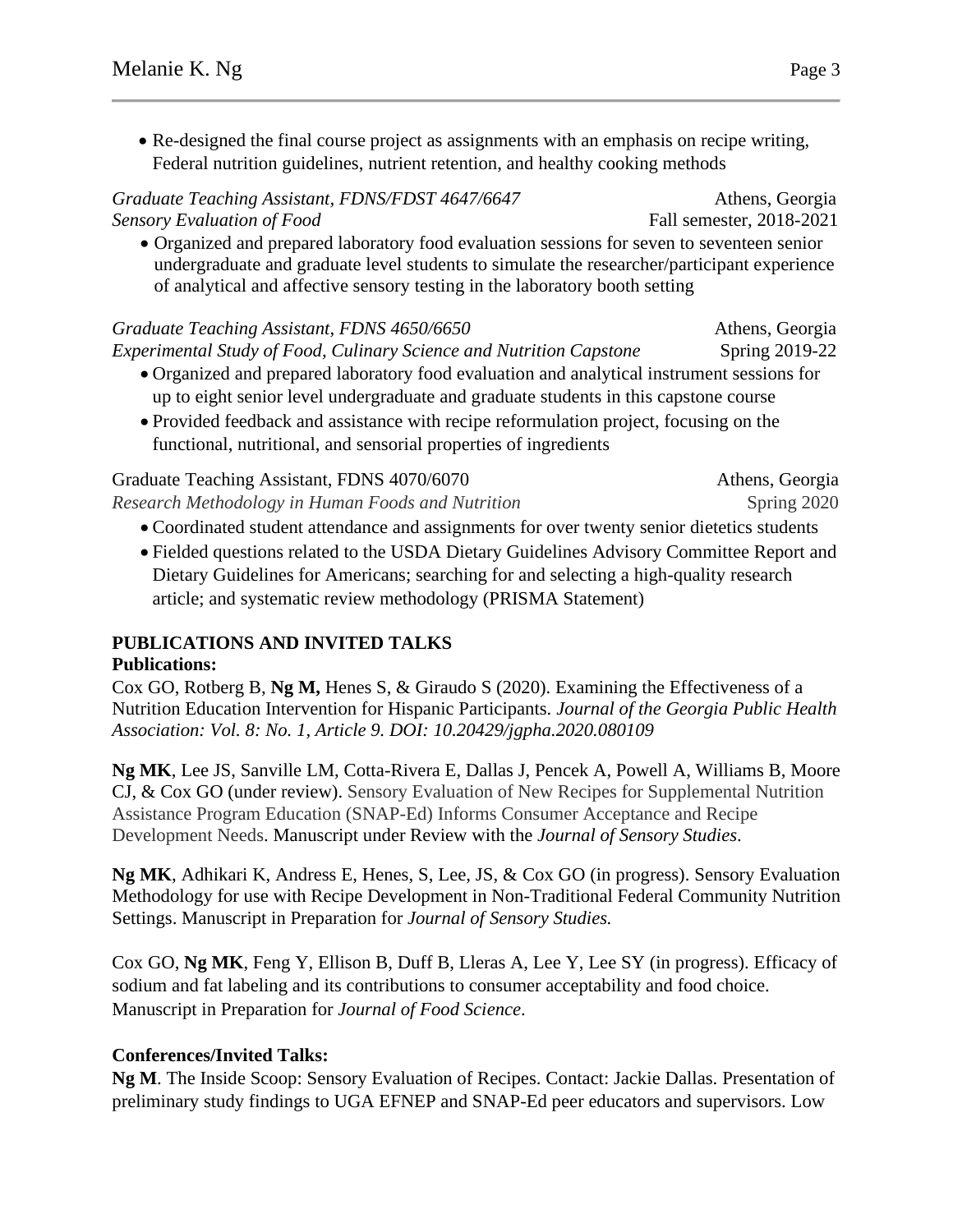• Re-designed the final course project as assignments with an emphasis on recipe writing, Federal nutrition guidelines, nutrient retention, and healthy cooking methods

*Graduate Teaching Assistant, FDNS/FDST 4647/6647* Athens, Georgia *Sensory Evaluation of Food* Fall semester, 2018-2021 • Organized and prepared laboratory food evaluation sessions for seven to seventeen senior undergraduate and graduate level students to simulate the researcher/participant experience of analytical and affective sensory testing in the laboratory booth setting

*Graduate Teaching Assistant, FDNS 4650/6650* Athens, Georgia *Experimental Study of Food, Culinary Science and Nutrition Capstone* Spring 2019-22 • Organized and prepared laboratory food evaluation and analytical instrument sessions for up to eight senior level undergraduate and graduate students in this capstone course

• Provided feedback and assistance with recipe reformulation project, focusing on the functional, nutritional, and sensorial properties of ingredients

| Graduate Teaching Assistant, FDNS 4070/6070       | Athens, Georgia |
|---------------------------------------------------|-----------------|
| Research Methodology in Human Foods and Nutrition | Spring 2020     |

- Coordinated student attendance and assignments for over twenty senior dietetics students
- Fielded questions related to the USDA Dietary Guidelines Advisory Committee Report and Dietary Guidelines for Americans; searching for and selecting a high-quality research article; and systematic review methodology (PRISMA Statement)

## **PUBLICATIONS AND INVITED TALKS**

#### **Publications:**

Cox GO, Rotberg B, **Ng M,** Henes S, & Giraudo S (2020). Examining the Effectiveness of a Nutrition Education Intervention for Hispanic Participants. *Journal of the Georgia Public Health Association: Vol. 8: No. 1, Article 9. DOI: 10.20429/jgpha.2020.080109*

**Ng MK**, Lee JS, Sanville LM, Cotta-Rivera E, Dallas J, Pencek A, Powell A, Williams B, Moore CJ, & Cox GO (under review). Sensory Evaluation of New Recipes for Supplemental Nutrition Assistance Program Education (SNAP-Ed) Informs Consumer Acceptance and Recipe Development Needs. Manuscript under Review with the *Journal of Sensory Studies*.

**Ng MK**, Adhikari K, Andress E, Henes, S, Lee, JS, & Cox GO (in progress). Sensory Evaluation Methodology for use with Recipe Development in Non-Traditional Federal Community Nutrition Settings. Manuscript in Preparation for *Journal of Sensory Studies.*

Cox GO, **Ng MK**, Feng Y, Ellison B, Duff B, Lleras A, Lee Y, Lee SY (in progress). Efficacy of sodium and fat labeling and its contributions to consumer acceptability and food choice. Manuscript in Preparation for *Journal of Food Science*.

## **Conferences/Invited Talks:**

**Ng M**. The Inside Scoop: Sensory Evaluation of Recipes. Contact: Jackie Dallas. Presentation of preliminary study findings to UGA EFNEP and SNAP-Ed peer educators and supervisors. Low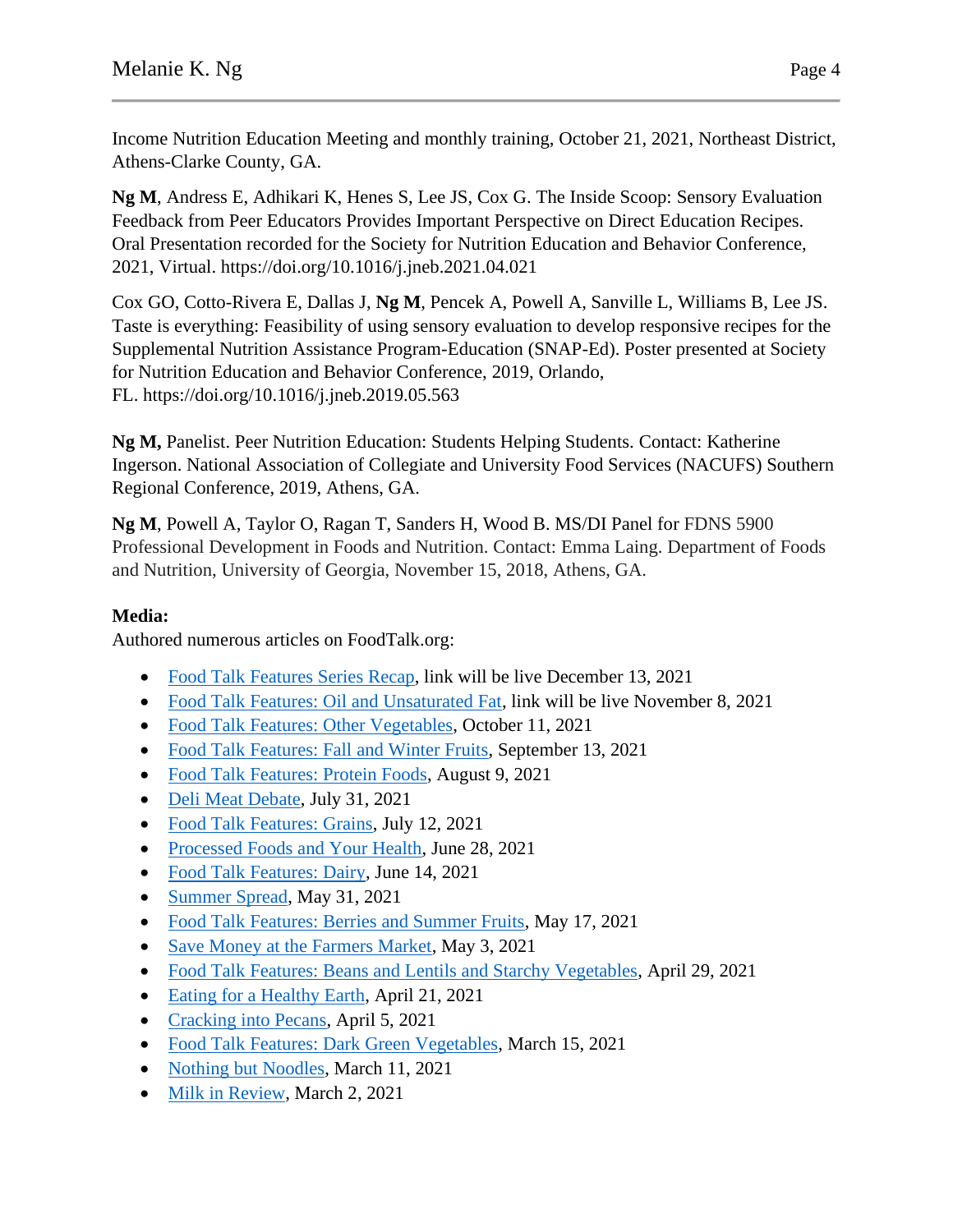Income Nutrition Education Meeting and monthly training, October 21, 2021, Northeast District, Athens-Clarke County, GA.

**Ng M**, Andress E, Adhikari K, Henes S, Lee JS, Cox G. The Inside Scoop: Sensory Evaluation Feedback from Peer Educators Provides Important Perspective on Direct Education Recipes. Oral Presentation recorded for the Society for Nutrition Education and Behavior Conference, 2021, Virtual. https://doi.org/10.1016/j.jneb.2021.04.021

Cox GO, Cotto-Rivera E, Dallas J, **Ng M**, Pencek A, Powell A, Sanville L, Williams B, Lee JS. Taste is everything: Feasibility of using sensory evaluation to develop responsive recipes for the Supplemental Nutrition Assistance Program-Education (SNAP-Ed). Poster presented at Society for Nutrition Education and Behavior Conference, 2019, Orlando, FL. https://doi.org/10.1016/j.jneb.2019.05.563

**Ng M,** Panelist. Peer Nutrition Education: Students Helping Students. Contact: Katherine Ingerson. National Association of Collegiate and University Food Services (NACUFS) Southern Regional Conference, 2019, Athens, GA.

**Ng M**, Powell A, Taylor O, Ragan T, Sanders H, Wood B. MS/DI Panel for FDNS 5900 Professional Development in Foods and Nutrition. Contact: Emma Laing. Department of Foods and Nutrition, University of Georgia, November 15, 2018, Athens, GA.

## **Media:**

Authored numerous articles on FoodTalk.org:

- [Food Talk Features Series Recap,](https://foodtalk.org/en/blog/food-talk-features-series-recap) link will be live December 13, 2021
- [Food Talk Features: Oil and Unsaturated Fat,](https://foodtalk.org/en/blog/oil-and-unsaturated-fat) link will be live November 8, 2021
- [Food Talk Features: Other Vegetables,](https://foodtalk.org/en/blog/other-vegetables) October 11, 2021
- [Food Talk Features: Fall and Winter Fruits,](https://foodtalk.org/en/blog/fall-and-winter-fruits) September 13, 2021
- [Food Talk Features: Protein Foods,](https://foodtalk.org/en/blog/protein-foods) August 9, 2021
- [Deli Meat Debate,](https://foodtalk.org/en/blog/deli-meat-debate) July 31, 2021
- [Food Talk Features: Grains,](https://foodtalk.org/en/blog/grains) July 12, 2021
- [Processed Foods and Your Health,](https://foodtalk.org/en/blog/processed-foods-and-your-health) June 28, 2021
- [Food Talk Features: Dairy,](https://foodtalk.org/en/blog/dairy) June 14, 2021
- [Summer Spread,](https://foodtalk.org/en/blog/summer-spread) May 31, 2021
- [Food Talk Features: Berries and Summer Fruits,](https://foodtalk.org/en/blog/berries-and-summer-fruits) May 17, 2021
- [Save Money at the Farmers Market,](https://foodtalk.org/en/blog/save-money-at-the-farmers-market) May 3, 2021
- [Food Talk Features: Beans and Lentils and Starchy Vegetables,](https://foodtalk.org/en/blog/beans-and-lentils-and-starchy-vegetables) April 29, 2021
- [Eating for a Healthy Earth,](https://foodtalk.org/en/blog/eating-for-a-healthy-earth) April 21, 2021
- [Cracking into Pecans,](https://foodtalk.org/en/blog/cracking-into-pecans) April 5, 2021
- [Food Talk Features: Dark Green Vegetables,](https://foodtalk.org/en/blog/dark-green-vegetables) March 15, 2021
- [Nothing but Noodles,](https://foodtalk.org/en/blog/nothing-but-noodles) March 11, 2021
- [Milk in Review,](https://foodtalk.org/en/blog/milk-in-review) March 2, 2021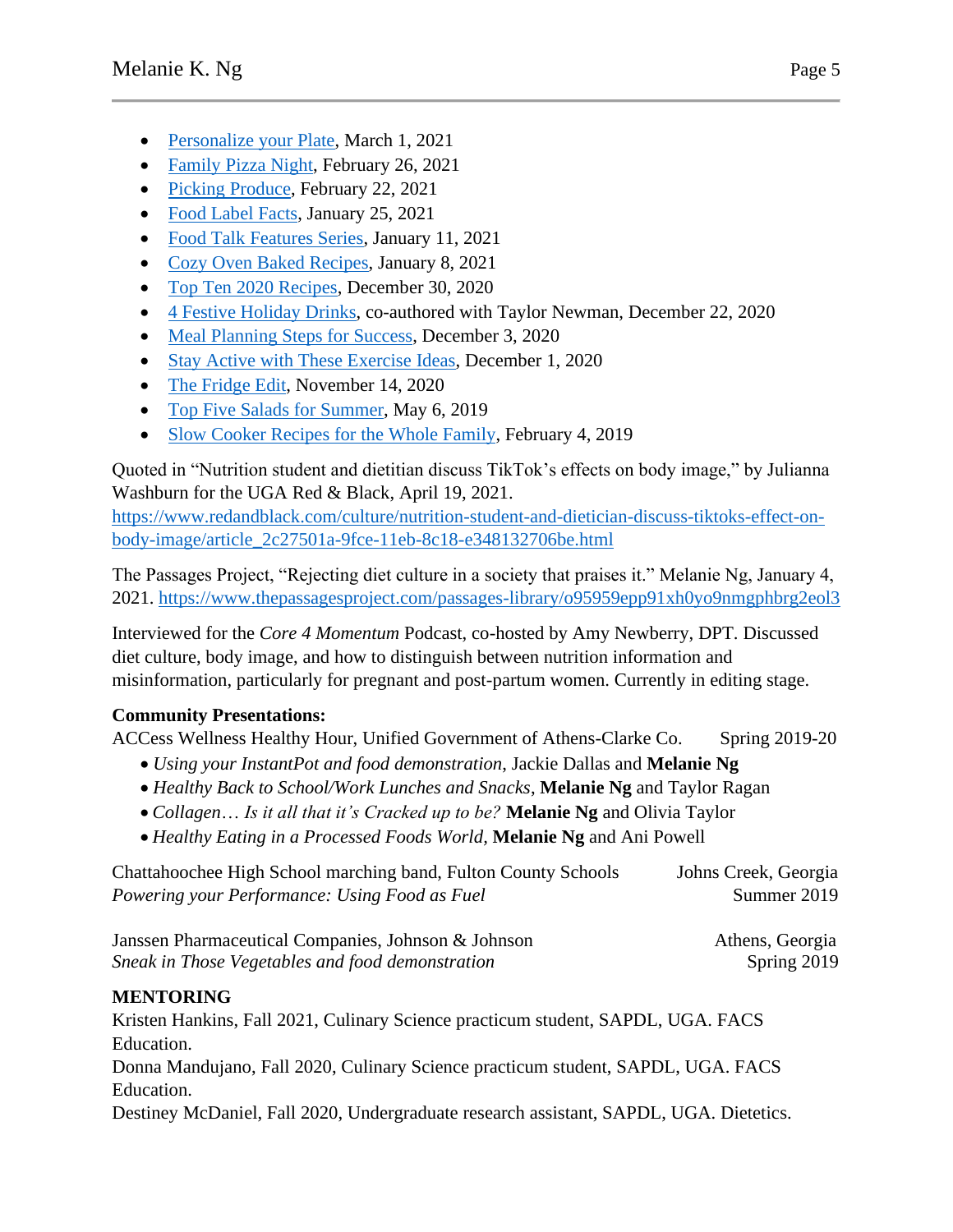- [Personalize your Plate,](https://foodtalk.org/en/blog/personalize-your-plate) March 1, 2021
- [Family Pizza Night,](https://foodtalk.org/en/blog/family-pizza-night) February 26, 2021
- [Picking Produce,](https://foodtalk.org/en/blog/picking-produce) February 22, 2021
- [Food Label Facts,](https://foodtalk.org/en/blog/food-label-facts) January 25, 2021
- [Food Talk Features Series,](https://foodtalk.org/en/blog/food-talk-features-series) January 11, 2021
- [Cozy Oven Baked Recipes,](https://foodtalk.org/en/blog/cozy-oven-baked-recipes) January 8, 2021
- [Top Ten 2020 Recipes,](https://foodtalk.org/en/blog/top-ten-2020-recipes) December 30, 2020
- [4 Festive Holiday Drinks,](https://foodtalk.org/en/blog/4-festive-holiday-drinks) co-authored with Taylor Newman, December 22, 2020
- [Meal Planning Steps for Success,](https://foodtalk.org/en/blog/meal-planning-steps-for-success) December 3, 2020
- [Stay Active with These Exercise Ideas,](https://foodtalk.org/en/blog/stay-active-with-these-exercise-ideas) December 1, 2020
- [The Fridge Edit,](https://foodtalk.org/en/blog/the-fridge-edit) November 14, 2020
- [Top Five Salads for Summer,](https://foodtalk.org/en/blog/top-five-salads-for-summer) May 6, 2019
- [Slow Cooker Recipes for the Whole Family,](https://foodtalk.org/en/blog/slow-cooker-recipes-for-the-whole-family) February 4, 2019

Quoted in "Nutrition student and dietitian discuss TikTok's effects on body image," by Julianna Washburn for the UGA Red & Black, April 19, 2021.

[https://www.redandblack.com/culture/nutrition-student-and-dietician-discuss-tiktoks-effect-on](https://www.redandblack.com/culture/nutrition-student-and-dietician-discuss-tiktoks-effect-on-body-image/article_2c27501a-9fce-11eb-8c18-e348132706be.html)[body-image/article\\_2c27501a-9fce-11eb-8c18-e348132706be.html](https://www.redandblack.com/culture/nutrition-student-and-dietician-discuss-tiktoks-effect-on-body-image/article_2c27501a-9fce-11eb-8c18-e348132706be.html)

The Passages Project, "Rejecting diet culture in a society that praises it." Melanie Ng, January 4, 2021.<https://www.thepassagesproject.com/passages-library/o95959epp91xh0yo9nmgphbrg2eol3>

Interviewed for the *Core 4 Momentum* Podcast, co-hosted by Amy Newberry, DPT. Discussed diet culture, body image, and how to distinguish between nutrition information and misinformation, particularly for pregnant and post-partum women. Currently in editing stage.

## **Community Presentations:**

ACCess Wellness Healthy Hour, Unified Government of Athens-Clarke Co. Spring 2019-20

- *Using your InstantPot and food demonstration*, Jackie Dallas and **Melanie Ng**
- *Healthy Back to School/Work Lunches and Snacks*, **Melanie Ng** and Taylor Ragan
- *Collagen*… *Is it all that it's Cracked up to be?* **Melanie Ng** and Olivia Taylor
- *Healthy Eating in a Processed Foods World,* **Melanie Ng** and Ani Powell

Chattahoochee High School marching band, Fulton County Schools Johns Creek, Georgia *Powering your Performance: Using Food as Fuel* **Summer 2019** Summer 2019

Janssen Pharmaceutical Companies, Johnson & Johnson Athens, Georgia *Sneak in Those Vegetables and food demonstration* **Spring 2019 Spring 2019** 

## **MENTORING**

Kristen Hankins, Fall 2021, Culinary Science practicum student, SAPDL, UGA. FACS Education.

Donna Mandujano, Fall 2020, Culinary Science practicum student, SAPDL, UGA. FACS Education.

Destiney McDaniel, Fall 2020, Undergraduate research assistant, SAPDL, UGA. Dietetics.